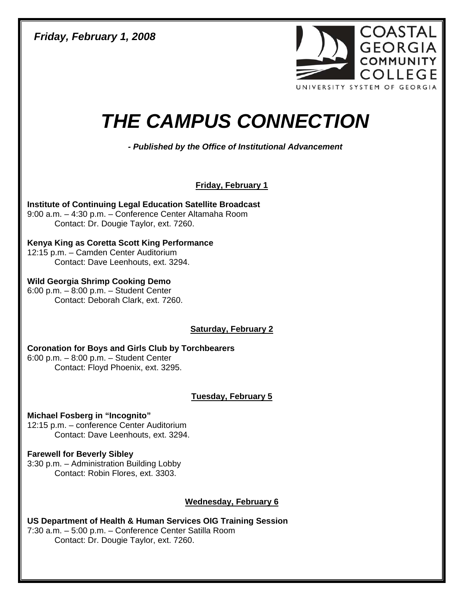*Friday, February 1, 2008* 



# *THE CAMPUS CONNECTION*

*- Published by the Office of Institutional Advancement* 

**Friday, February 1**

**Institute of Continuing Legal Education Satellite Broadcast**  9:00 a.m. – 4:30 p.m. – Conference Center Altamaha Room Contact: Dr. Dougie Taylor, ext. 7260.

#### **Kenya King as Coretta Scott King Performance**  12:15 p.m. – Camden Center Auditorium

Contact: Dave Leenhouts, ext. 3294.

**Wild Georgia Shrimp Cooking Demo**  6:00 p.m. – 8:00 p.m. – Student Center Contact: Deborah Clark, ext. 7260.

# **Saturday, February 2**

**Coronation for Boys and Girls Club by Torchbearers**  6:00 p.m. – 8:00 p.m. – Student Center Contact: Floyd Phoenix, ext. 3295.

## **Tuesday, February 5**

**Michael Fosberg in "Incognito"**  12:15 p.m. – conference Center Auditorium Contact: Dave Leenhouts, ext. 3294.

#### **Farewell for Beverly Sibley**  3:30 p.m. – Administration Building Lobby

Contact: Robin Flores, ext. 3303.

## **Wednesday, February 6**

**US Department of Health & Human Services OIG Training Session**  7:30 a.m. – 5:00 p.m. – Conference Center Satilla Room Contact: Dr. Dougie Taylor, ext. 7260.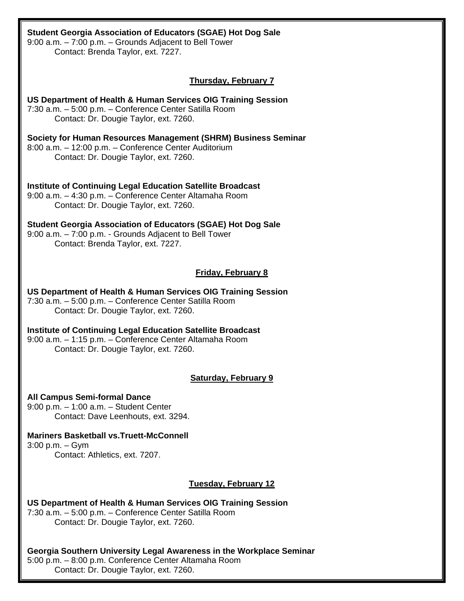| <b>Student Georgia Association of Educators (SGAE) Hot Dog Sale</b><br>9:00 a.m. - 7:00 p.m. - Grounds Adjacent to Bell Tower<br>Contact: Brenda Taylor, ext. 7227.     |
|-------------------------------------------------------------------------------------------------------------------------------------------------------------------------|
| <u>Thursday, February 7</u>                                                                                                                                             |
| US Department of Health & Human Services OIG Training Session<br>7:30 a.m. - 5:00 p.m. - Conference Center Satilla Room<br>Contact: Dr. Dougie Taylor, ext. 7260.       |
| Society for Human Resources Management (SHRM) Business Seminar<br>8:00 a.m. - 12:00 p.m. - Conference Center Auditorium<br>Contact: Dr. Dougie Taylor, ext. 7260.       |
| <b>Institute of Continuing Legal Education Satellite Broadcast</b><br>9:00 a.m. - 4:30 p.m. - Conference Center Altamaha Room<br>Contact: Dr. Dougie Taylor, ext. 7260. |
| <b>Student Georgia Association of Educators (SGAE) Hot Dog Sale</b><br>9:00 a.m. - 7:00 p.m. - Grounds Adjacent to Bell Tower<br>Contact: Brenda Taylor, ext. 7227.     |
| <b>Friday, February 8</b>                                                                                                                                               |
| US Department of Health & Human Services OIG Training Session<br>7:30 a.m. - 5:00 p.m. - Conference Center Satilla Room<br>Contact: Dr. Dougie Taylor, ext. 7260.       |
| <b>Institute of Continuing Legal Education Satellite Broadcast</b><br>9:00 a.m. - 1:15 p.m. - Conference Center Altamaha Room<br>Contact: Dr. Dougie Taylor, ext. 7260. |
| <b>Saturday, February 9</b>                                                                                                                                             |
| <b>All Campus Semi-formal Dance</b><br>$9:00$ p.m. $-1:00$ a.m. $-$ Student Center<br>Contact: Dave Leenhouts, ext. 3294.                                               |
| <b>Mariners Basketball vs. Truett-McConnell</b><br>$3:00$ p.m. $-$ Gym<br>Contact: Athletics, ext. 7207.                                                                |
| <u>Tuesday, February 12</u>                                                                                                                                             |
| US Department of Health & Human Services OIG Training Session<br>7:30 a.m. - 5:00 p.m. - Conference Center Satilla Room<br>Contact: Dr. Dougie Taylor, ext. 7260.       |

**Georgia Southern University Legal Awareness in the Workplace Seminar**  5:00 p.m. – 8:00 p.m. Conference Center Altamaha Room Contact: Dr. Dougie Taylor, ext. 7260.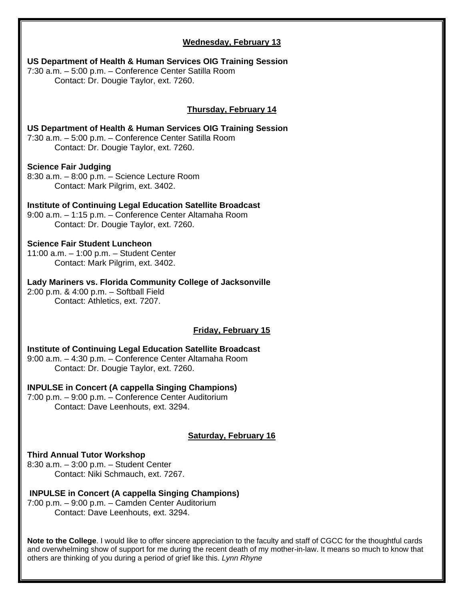#### **Wednesday, February 13**

**US Department of Health & Human Services OIG Training Session** 

7:30 a.m. – 5:00 p.m. – Conference Center Satilla Room Contact: Dr. Dougie Taylor, ext. 7260.

#### **Thursday, February 14**

**US Department of Health & Human Services OIG Training Session**  7:30 a.m. – 5:00 p.m. – Conference Center Satilla Room Contact: Dr. Dougie Taylor, ext. 7260.

#### **Science Fair Judging**

8:30 a.m. – 8:00 p.m. – Science Lecture Room Contact: Mark Pilgrim, ext. 3402.

**Institute of Continuing Legal Education Satellite Broadcast**  9:00 a.m. – 1:15 p.m. – Conference Center Altamaha Room Contact: Dr. Dougie Taylor, ext. 7260.

#### **Science Fair Student Luncheon**

11:00 a.m. – 1:00 p.m. – Student Center Contact: Mark Pilgrim, ext. 3402.

**Lady Mariners vs. Florida Community College of Jacksonville**  2:00 p.m. & 4:00 p.m. – Softball Field Contact: Athletics, ext. 7207.

#### **Friday, February 15**

**Institute of Continuing Legal Education Satellite Broadcast**  9:00 a.m. – 4:30 p.m. – Conference Center Altamaha Room

Contact: Dr. Dougie Taylor, ext. 7260.

#### **INPULSE in Concert (A cappella Singing Champions)**

7:00 p.m. – 9:00 p.m. – Conference Center Auditorium Contact: Dave Leenhouts, ext. 3294.

#### **Saturday, February 16**

#### **Third Annual Tutor Workshop**

8:30 a.m. – 3:00 p.m. – Student Center Contact: Niki Schmauch, ext. 7267.

#### **INPULSE in Concert (A cappella Singing Champions)**

7:00 p.m. – 9:00 p.m. – Camden Center Auditorium Contact: Dave Leenhouts, ext. 3294.

**Note to the College**. I would like to offer sincere appreciation to the faculty and staff of CGCC for the thoughtful cards and overwhelming show of support for me during the recent death of my mother-in-law. It means so much to know that others are thinking of you during a period of grief like this. *Lynn Rhyne*